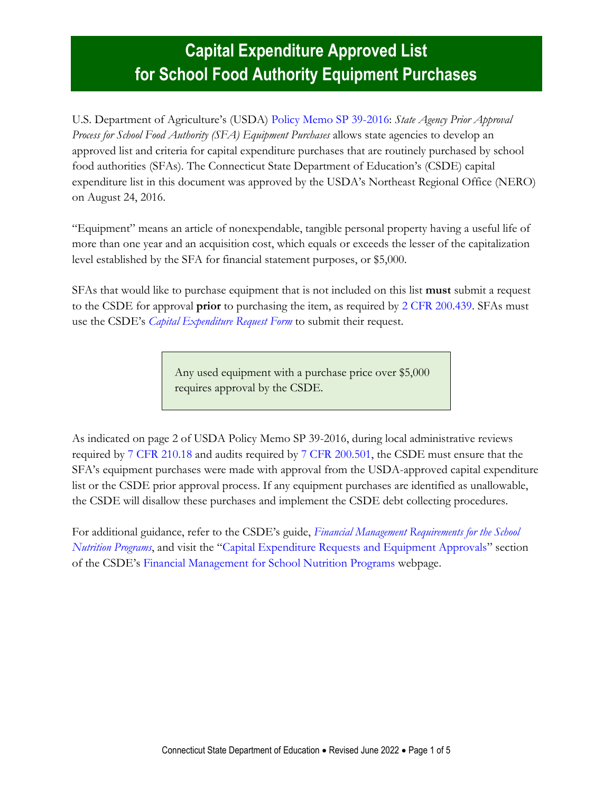### **Capital Expenditure Approved List for School Food Authority Equipment Purchases**

U.S. Department of Agriculture's (USDA) [Policy Memo SP 39-2016:](http://www.fns.usda.gov/sites/default/files/cn/SP39_CACFP11_SFSP13_2016os.pdf) *State Agency Prior Approval Process for School Food Authority (SFA) Equipment Purchases* allows state agencies to develop an approved list and criteria for capital expenditure purchases that are routinely purchased by school food authorities (SFAs). The Connecticut State Department of Education's (CSDE) capital expenditure list in this document was approved by the USDA's Northeast Regional Office (NERO) on August 24, 2016.

"Equipment" means an article of nonexpendable, tangible personal property having a useful life of more than one year and an acquisition cost, which equals or exceeds the lesser of the capitalization level established by the SFA for financial statement purposes, or \$5,000.

SFAs that would like to purchase equipment that is not included on this list **must** submit a request to the CSDE for approval **prior** to purchasing the item, as required by 2 CFR [200.439.](https://www.ecfr.gov/current/title-2/subtitle-A/chapter-II/part-200/subpart-E/subject-group-ECFRed1f39f9b3d4e72/section-200.439) SFAs must use the CSDE's *[Capital Expenditure Request Form](https://portal.ct.gov/-/media/SDE/Nutrition/NSLP/Forms/Equipment/Capital_Expenditure_Request_Form.pdf)* to submit their request.

> Any used equipment with a purchase price over \$5,000 requires approval by the CSDE.

As indicated on page 2 of USDA Policy Memo SP 39-2016, during local administrative reviews required by [7 CFR](https://www.ecfr.gov/current/title-7/subtitle-B/chapter-II/subchapter-A/part-210#210.18) 210.18 and audits required by 7 CFR [200.501,](https://www.ecfr.gov/current/title-2/part-200#200.501) the CSDE must ensure that the SFA's equipment purchases were made with approval from the USDA-approved capital expenditure list or the CSDE prior approval process. If any equipment purchases are identified as unallowable, the CSDE will disallow these purchases and implement the CSDE debt collecting procedures.

For additional guidance, refer to the CSDE's guide, *[Financial Management Requirements for the School](https://portal.ct.gov/-/media/SDE/Nutrition/NSLP/FinancialManagement/Financial_Management_Requirements_SNP.pdf)  [Nutrition Programs](https://portal.ct.gov/-/media/SDE/Nutrition/NSLP/FinancialManagement/Financial_Management_Requirements_SNP.pdf)*, and visit the "[Capital Expenditure Requests and Equipment Approvals](visit%20the%20CSDE’s%20Financial%20Management%20for%20School%20Nutrition%20Programs%20webpage.)" section of the CSDE's [Financial Management for School Nutrition Programs](https://portal.ct.gov/SDE/Nutrition/Financial-Management-for-School-Nutrition-Programs/Documents) webpage.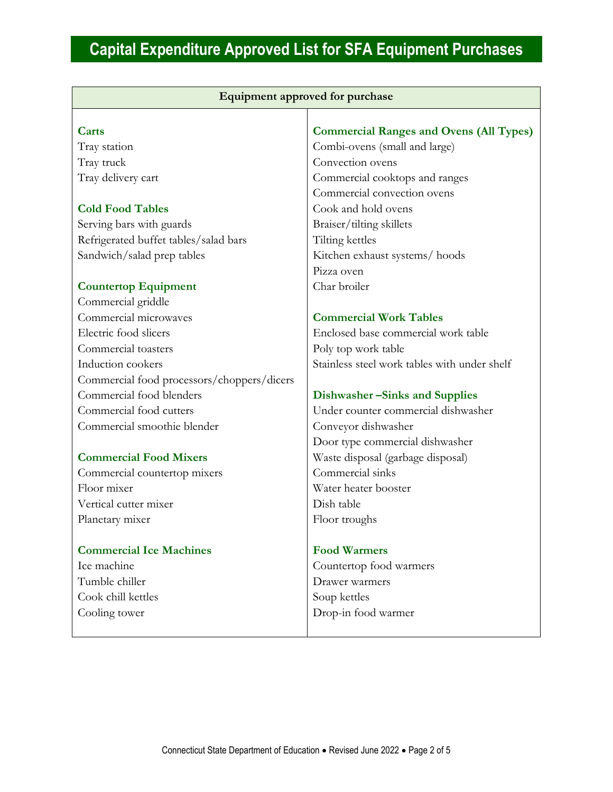| Equipment approved for purchase            |                                                |
|--------------------------------------------|------------------------------------------------|
|                                            |                                                |
| Carts                                      | <b>Commercial Ranges and Ovens (All Types)</b> |
| Tray station                               | Combi-ovens (small and large)                  |
| Tray truck                                 | Convection ovens                               |
| Tray delivery cart                         | Commercial cooktops and ranges                 |
|                                            | Commercial convection ovens                    |
| <b>Cold Food Tables</b>                    | Cook and hold ovens                            |
| Serving bars with guards                   | Braiser/tilting skillets                       |
| Refrigerated buffet tables/salad bars      | Tilting kettles                                |
| Sandwich/salad prep tables                 | Kitchen exhaust systems/hoods                  |
|                                            | Pizza oven                                     |
| <b>Countertop Equipment</b>                | Char broiler                                   |
| Commercial griddle                         |                                                |
| Commercial microwaves                      | <b>Commercial Work Tables</b>                  |
| Electric food slicers                      | Enclosed base commercial work table            |
| Commercial toasters                        | Poly top work table                            |
| Induction cookers                          | Stainless steel work tables with under shelf   |
| Commercial food processors/choppers/dicers |                                                |
| Commercial food blenders                   | Dishwasher - Sinks and Supplies                |
| Commercial food cutters                    | Under counter commercial dishwasher            |
| Commercial smoothie blender                | Conveyor dishwasher                            |
|                                            | Door type commercial dishwasher                |
| <b>Commercial Food Mixers</b>              | Waste disposal (garbage disposal)              |
| Commercial countertop mixers               | Commercial sinks                               |
| Floor mixer                                | Water heater booster                           |
| Vertical cutter mixer                      | Dish table                                     |
| Planetary mixer                            | Floor troughs                                  |
| <b>Commercial Ice Machines</b>             | <b>Food Warmers</b>                            |
| Ice machine                                | Countertop food warmers                        |
| Tumble chiller                             | Drawer warmers                                 |
| Cook chill kettles                         | Soup kettles                                   |
| Cooling tower                              | Drop-in food warmer                            |
|                                            |                                                |
|                                            |                                                |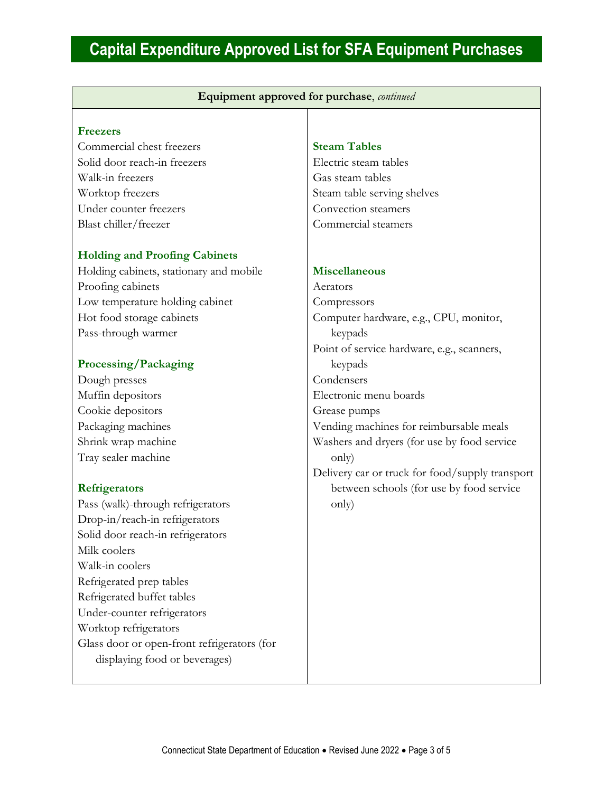| Equipment approved for purchase, continued  |                                                 |
|---------------------------------------------|-------------------------------------------------|
|                                             |                                                 |
| <b>Freezers</b>                             |                                                 |
| Commercial chest freezers                   | <b>Steam Tables</b>                             |
| Solid door reach-in freezers                | Electric steam tables                           |
| Walk-in freezers                            | Gas steam tables                                |
| Worktop freezers                            | Steam table serving shelves                     |
| Under counter freezers                      | Convection steamers                             |
| Blast chiller/freezer                       | Commercial steamers                             |
| <b>Holding and Proofing Cabinets</b>        |                                                 |
| Holding cabinets, stationary and mobile     | <b>Miscellaneous</b>                            |
| Proofing cabinets                           | Aerators                                        |
| Low temperature holding cabinet             | Compressors                                     |
| Hot food storage cabinets                   | Computer hardware, e.g., CPU, monitor,          |
| Pass-through warmer                         | keypads                                         |
|                                             | Point of service hardware, e.g., scanners,      |
| Processing/Packaging                        | keypads                                         |
| Dough presses                               | Condensers                                      |
| Muffin depositors                           | Electronic menu boards                          |
| Cookie depositors                           | Grease pumps                                    |
| Packaging machines                          | Vending machines for reimbursable meals         |
| Shrink wrap machine                         | Washers and dryers (for use by food service     |
| Tray sealer machine                         | only)                                           |
|                                             | Delivery car or truck for food/supply transport |
| <b>Refrigerators</b>                        | between schools (for use by food service        |
| Pass (walk)-through refrigerators           | only)                                           |
| Drop-in/reach-in refrigerators              |                                                 |
| Solid door reach-in refrigerators           |                                                 |
| Milk coolers                                |                                                 |
| Walk-in coolers                             |                                                 |
| Refrigerated prep tables                    |                                                 |
| Refrigerated buffet tables                  |                                                 |
| Under-counter refrigerators                 |                                                 |
| Worktop refrigerators                       |                                                 |
| Glass door or open-front refrigerators (for |                                                 |
| displaying food or beverages)               |                                                 |
|                                             |                                                 |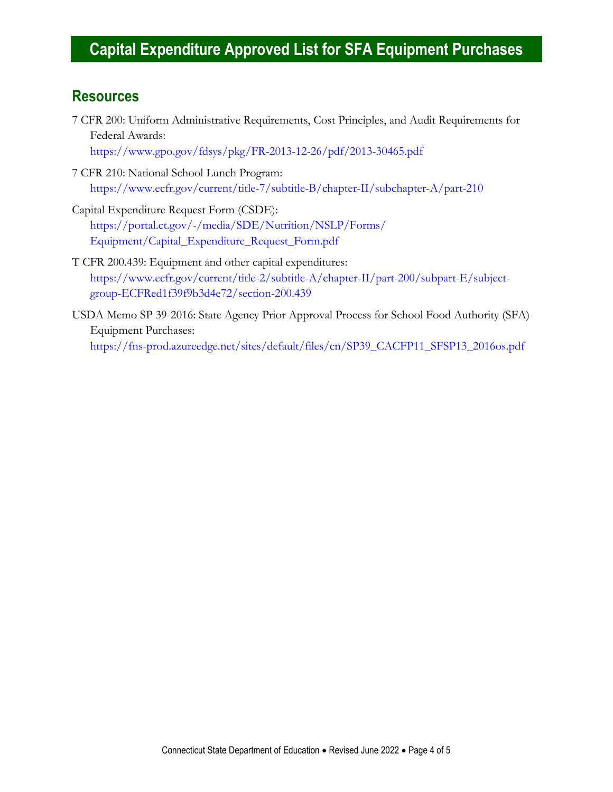#### **Resources**

7 CFR 200: Uniform Administrative Requirements, Cost Principles, and Audit Requirements for Federal Awards:

<https://www.gpo.gov/fdsys/pkg/FR-2013-12-26/pdf/2013-30465.pdf>

7 CFR 210: National School Lunch Program: <https://www.ecfr.gov/current/title-7/subtitle-B/chapter-II/subchapter-A/part-210>

Capital Expenditure Request Form (CSDE): [https://portal.ct.gov/-/media/SDE/Nutrition/NSLP/Forms/](https://portal.ct.gov/-/media/SDE/Nutrition/NSLP/Forms/‌Equipment/Capital_Expenditure_Request_Form.pdf) [Equipment/Capital\\_Expenditure\\_Request\\_Form.pdf](https://portal.ct.gov/-/media/SDE/Nutrition/NSLP/Forms/‌Equipment/Capital_Expenditure_Request_Form.pdf)

- T CFR 200.439: Equipment and other capital expenditures: [https://www.ecfr.gov/current/title-2/subtitle-A/chapter-II/part-200/subpart-E/subject](https://www.ecfr.gov/current/title-2/subtitle-A/chapter-II/part-200/subpart-E/subject-group-ECFRed1f39f9b3d4e72/section-200.439)[group-ECFRed1f39f9b3d4e72/section-200.439](https://www.ecfr.gov/current/title-2/subtitle-A/chapter-II/part-200/subpart-E/subject-group-ECFRed1f39f9b3d4e72/section-200.439)
- USDA Memo SP 39-2016: State Agency Prior Approval Process for School Food Authority (SFA) Equipment Purchases: [https://fns-prod.azureedge.net/sites/default/files/cn/SP39\\_CACFP11\\_SFSP13\\_2016os.pdf](https://fns-prod.azureedge.net/sites/default/files/cn/SP39_CACFP11_SFSP13_2016os.pdf)